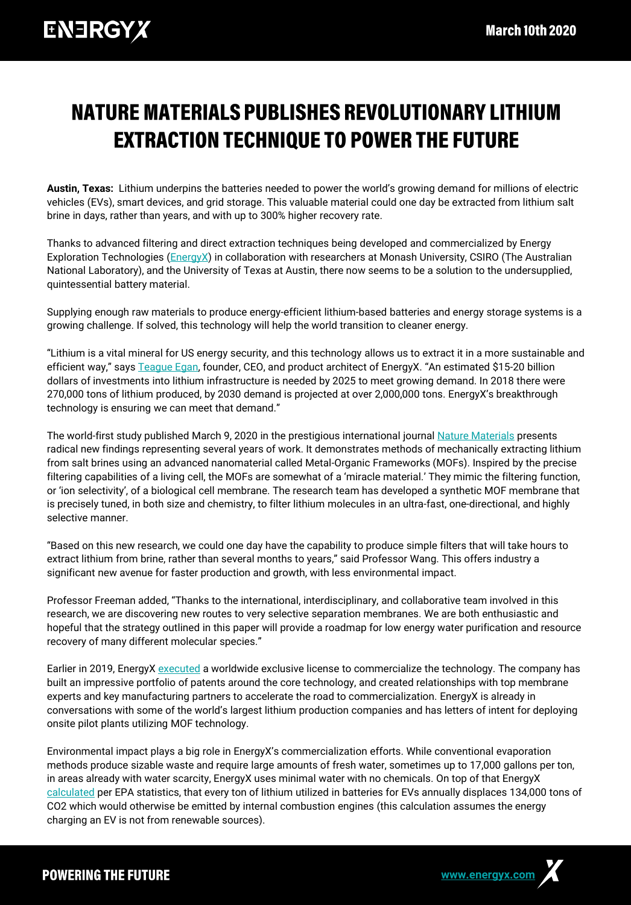## **NATURE MATERIALS PUBLISHES REVOLUTIONARY LITHIUM EXTRACTION TECHNIQUE TO POWER THE FUTURE**

**Austin, Texas:** Lithium underpins the batteries needed to power the world's growing demand for millions of electric vehicles (EVs), smart devices, and grid storage. This valuable material could one day be extracted from lithium salt brine in days, rather than years, and with up to 300% higher recovery rate.

Thanks to advanced filtering and direct extraction techniques being developed and commercialized by Energy Exploration Technologies [\(EnergyX\)](https://energyx.com/) in collaboration with researchers at Monash University, CSIRO (The Australian National Laboratory), and the University of Texas at Austin, there now seems to be a solution to the undersupplied, quintessential battery material.

Supplying enough raw materials to produce energy-efficient lithium-based batteries and energy storage systems is a growing challenge. If solved, this technology will help the world transition to cleaner energy.

"Lithium is a vital mineral for US energy security, and this technology allows us to extract it in a more sustainable and efficient way," says [Teague Egan](https://energyx.com/company/teague-egan/), founder, CEO, and product architect of EnergyX. "An estimated \$15-20 billion dollars of investments into lithium infrastructure is needed by 2025 to meet growing demand. In 2018 there were 270,000 tons of lithium produced, by 2030 demand is projected at over 2,000,000 tons. EnergyX's breakthrough technology is ensuring we can meet that demand."

The world-first study published March 9, 2020 in the prestigious international journal [Nature Materials](http://www.apple.com) presents radical new findings representing several years of work. It demonstrates methods of mechanically extracting lithium from salt brines using an advanced nanomaterial called Metal-Organic Frameworks (MOFs). Inspired by the precise filtering capabilities of a living cell, the MOFs are somewhat of a 'miracle material.' They mimic the filtering function, or 'ion selectivity', of a biological cell membrane. The research team has developed a synthetic MOF membrane that is precisely tuned, in both size and chemistry, to filter lithium molecules in an ultra-fast, one-directional, and highly selective manner.

"Based on this new research, we could one day have the capability to produce simple filters that will take hours to extract lithium from brine, rather than several months to years," said Professor Wang. This offers industry a significant new avenue for faster production and growth, with less environmental impact.

Professor Freeman added, "Thanks to the international, interdisciplinary, and collaborative team involved in this research, we are discovering new routes to very selective separation membranes. We are both enthusiastic and hopeful that the strategy outlined in this paper will provide a roadmap for low energy water purification and resource recovery of many different molecular species."

Earlier in 2019, EnergyX [executed](https://www.forbes.com/sites/marekkubik/2019/09/24/this-breakthrough-lithium-extraction-technology-could-accelerate-the-sustainable-energy-transition/#756d0a9c75fc) a worldwide exclusive license to commercialize the technology. The company has built an impressive portfolio of patents around the core technology, and created relationships with top membrane experts and key manufacturing partners to accelerate the road to commercialization. EnergyX is already in conversations with some of the world's largest lithium production companies and has letters of intent for deploying onsite pilot plants utilizing MOF technology.

Environmental impact plays a big role in EnergyX's commercialization efforts. While conventional evaporation methods produce sizable waste and require large amounts of fresh water, sometimes up to 17,000 gallons per ton, in areas already with water scarcity, EnergyX uses minimal water with no chemicals. On top of that EnergyX [calculated](https://energyx.com/resources/how-lithium-reduces-our-carbon-footprint/) per EPA statistics, that every ton of lithium utilized in batteries for EVs annually displaces 134,000 tons of CO2 which would otherwise be emitted by internal combustion engines (this calculation assumes the energy charging an EV is not from renewable sources).